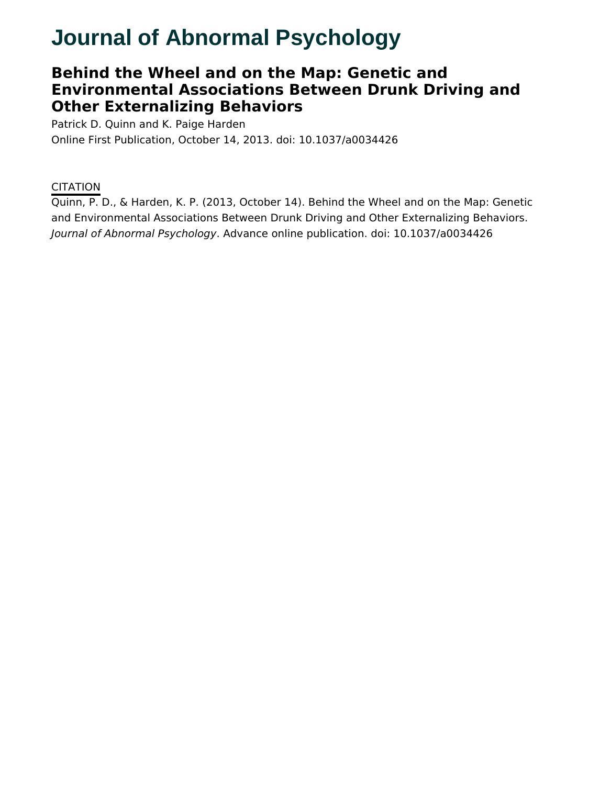# **Journal of Abnormal Psychology**

## **Behind the Wheel and on the Map: Genetic and Environmental Associations Between Drunk Driving and Other Externalizing Behaviors**

Patrick D. Quinn and K. Paige Harden Online First Publication, October 14, 2013. doi: 10.1037/a0034426

### **CITATION**

Quinn, P. D., & Harden, K. P. (2013, October 14). Behind the Wheel and on the Map: Genetic and Environmental Associations Between Drunk Driving and Other Externalizing Behaviors. Journal of Abnormal Psychology. Advance online publication. doi: 10.1037/a0034426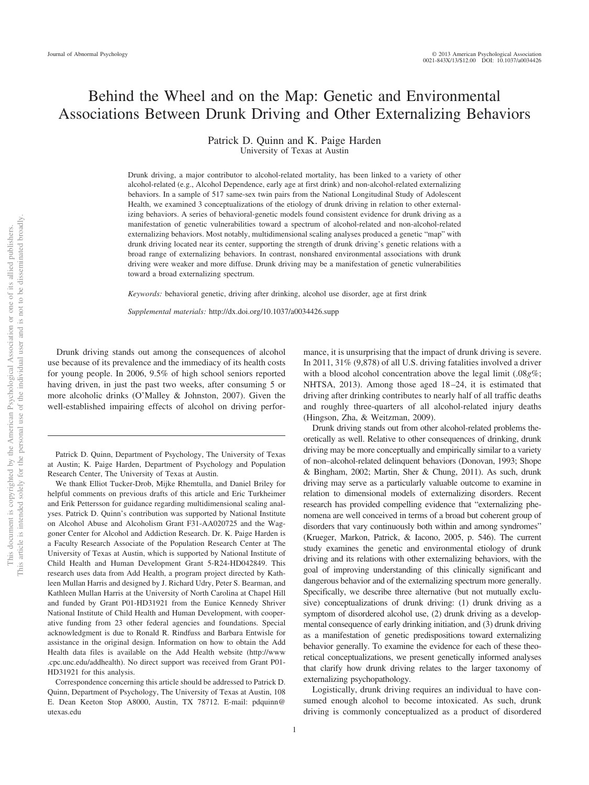### Behind the Wheel and on the Map: Genetic and Environmental Associations Between Drunk Driving and Other Externalizing Behaviors

#### Patrick D. Quinn and K. Paige Harden University of Texas at Austin

Drunk driving, a major contributor to alcohol-related mortality, has been linked to a variety of other alcohol-related (e.g., Alcohol Dependence, early age at first drink) and non-alcohol-related externalizing behaviors. In a sample of 517 same-sex twin pairs from the National Longitudinal Study of Adolescent Health, we examined 3 conceptualizations of the etiology of drunk driving in relation to other externalizing behaviors. A series of behavioral-genetic models found consistent evidence for drunk driving as a manifestation of genetic vulnerabilities toward a spectrum of alcohol-related and non-alcohol-related externalizing behaviors. Most notably, multidimensional scaling analyses produced a genetic "map" with drunk driving located near its center, supporting the strength of drunk driving's genetic relations with a broad range of externalizing behaviors. In contrast, nonshared environmental associations with drunk driving were weaker and more diffuse. Drunk driving may be a manifestation of genetic vulnerabilities toward a broad externalizing spectrum.

*Keywords:* behavioral genetic, driving after drinking, alcohol use disorder, age at first drink

*Supplemental materials:* http://dx.doi.org/10.1037/a0034426.supp

Drunk driving stands out among the consequences of alcohol use because of its prevalence and the immediacy of its health costs for young people. In 2006, 9.5% of high school seniors reported having driven, in just the past two weeks, after consuming 5 or more alcoholic drinks (O'Malley & Johnston, 2007). Given the well-established impairing effects of alcohol on driving perfor-

We thank Elliot Tucker-Drob, Mijke Rhemtulla, and Daniel Briley for helpful comments on previous drafts of this article and Eric Turkheimer and Erik Pettersson for guidance regarding multidimensional scaling analyses. Patrick D. Quinn's contribution was supported by National Institute on Alcohol Abuse and Alcoholism Grant F31-AA020725 and the Waggoner Center for Alcohol and Addiction Research. Dr. K. Paige Harden is a Faculty Research Associate of the Population Research Center at The University of Texas at Austin, which is supported by National Institute of Child Health and Human Development Grant 5-R24-HD042849. This research uses data from Add Health, a program project directed by Kathleen Mullan Harris and designed by J. Richard Udry, Peter S. Bearman, and Kathleen Mullan Harris at the University of North Carolina at Chapel Hill and funded by Grant P01-HD31921 from the Eunice Kennedy Shriver National Institute of Child Health and Human Development, with cooperative funding from 23 other federal agencies and foundations. Special acknowledgment is due to Ronald R. Rindfuss and Barbara Entwisle for assistance in the original design. Information on how to obtain the Add Health data files is available on the Add Health website (http://www .cpc.unc.edu/addhealth). No direct support was received from Grant P01- HD31921 for this analysis.

Correspondence concerning this article should be addressed to Patrick D. Quinn, Department of Psychology, The University of Texas at Austin, 108 E. Dean Keeton Stop A8000, Austin, TX 78712. E-mail: pdquinn@ utexas.edu

mance, it is unsurprising that the impact of drunk driving is severe. In 2011, 31% (9,878) of all U.S. driving fatalities involved a driver with a blood alcohol concentration above the legal limit (.08*g*%; NHTSA, 2013). Among those aged 18–24, it is estimated that driving after drinking contributes to nearly half of all traffic deaths and roughly three-quarters of all alcohol-related injury deaths (Hingson, Zha, & Weitzman, 2009).

Drunk driving stands out from other alcohol-related problems theoretically as well. Relative to other consequences of drinking, drunk driving may be more conceptually and empirically similar to a variety of non–alcohol-related delinquent behaviors (Donovan, 1993; Shope & Bingham, 2002; Martin, Sher & Chung, 2011). As such, drunk driving may serve as a particularly valuable outcome to examine in relation to dimensional models of externalizing disorders. Recent research has provided compelling evidence that "externalizing phenomena are well conceived in terms of a broad but coherent group of disorders that vary continuously both within and among syndromes" (Krueger, Markon, Patrick, & Iacono, 2005, p. 546). The current study examines the genetic and environmental etiology of drunk driving and its relations with other externalizing behaviors, with the goal of improving understanding of this clinically significant and dangerous behavior and of the externalizing spectrum more generally. Specifically, we describe three alternative (but not mutually exclusive) conceptualizations of drunk driving: (1) drunk driving as a symptom of disordered alcohol use, (2) drunk driving as a developmental consequence of early drinking initiation, and (3) drunk driving as a manifestation of genetic predispositions toward externalizing behavior generally. To examine the evidence for each of these theoretical conceptualizations, we present genetically informed analyses that clarify how drunk driving relates to the larger taxonomy of externalizing psychopathology.

Logistically, drunk driving requires an individual to have consumed enough alcohol to become intoxicated. As such, drunk driving is commonly conceptualized as a product of disordered

Patrick D. Quinn, Department of Psychology, The University of Texas at Austin; K. Paige Harden, Department of Psychology and Population Research Center, The University of Texas at Austin.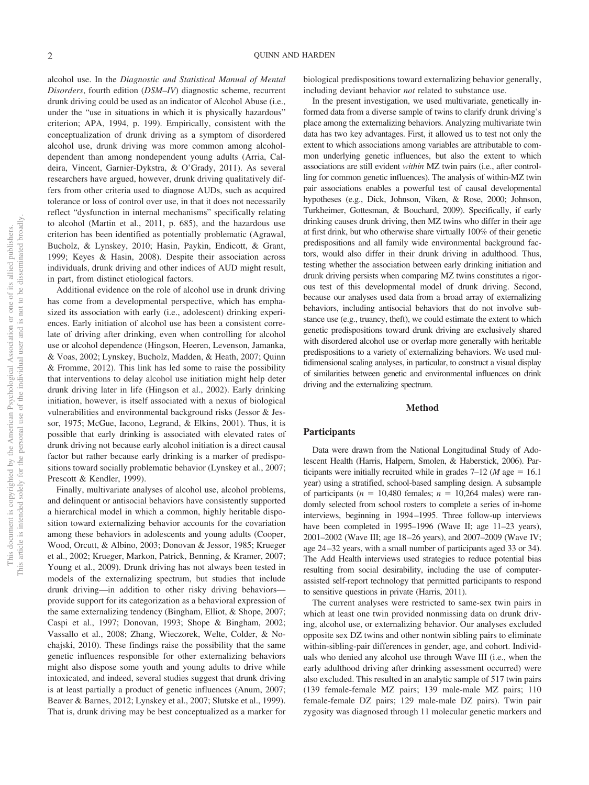alcohol use. In the *Diagnostic and Statistical Manual of Mental Disorders*, fourth edition (*DSM–IV*) diagnostic scheme, recurrent drunk driving could be used as an indicator of Alcohol Abuse (i.e., under the "use in situations in which it is physically hazardous" criterion; APA, 1994, p. 199). Empirically, consistent with the conceptualization of drunk driving as a symptom of disordered alcohol use, drunk driving was more common among alcoholdependent than among nondependent young adults (Arria, Caldeira, Vincent, Garnier-Dykstra, & O'Grady, 2011). As several researchers have argued, however, drunk driving qualitatively differs from other criteria used to diagnose AUDs, such as acquired tolerance or loss of control over use, in that it does not necessarily reflect "dysfunction in internal mechanisms" specifically relating to alcohol (Martin et al., 2011, p. 685), and the hazardous use criterion has been identified as potentially problematic (Agrawal, Bucholz, & Lynskey, 2010; Hasin, Paykin, Endicott, & Grant, 1999; Keyes & Hasin, 2008). Despite their association across individuals, drunk driving and other indices of AUD might result, in part, from distinct etiological factors.

Additional evidence on the role of alcohol use in drunk driving has come from a developmental perspective, which has emphasized its association with early (i.e., adolescent) drinking experiences. Early initiation of alcohol use has been a consistent correlate of driving after drinking, even when controlling for alcohol use or alcohol dependence (Hingson, Heeren, Levenson, Jamanka, & Voas, 2002; Lynskey, Bucholz, Madden, & Heath, 2007; Quinn & Fromme, 2012). This link has led some to raise the possibility that interventions to delay alcohol use initiation might help deter drunk driving later in life (Hingson et al., 2002). Early drinking initiation, however, is itself associated with a nexus of biological vulnerabilities and environmental background risks (Jessor & Jessor, 1975; McGue, Iacono, Legrand, & Elkins, 2001). Thus, it is possible that early drinking is associated with elevated rates of drunk driving not because early alcohol initiation is a direct causal factor but rather because early drinking is a marker of predispositions toward socially problematic behavior (Lynskey et al., 2007; Prescott & Kendler, 1999).

Finally, multivariate analyses of alcohol use, alcohol problems, and delinquent or antisocial behaviors have consistently supported a hierarchical model in which a common, highly heritable disposition toward externalizing behavior accounts for the covariation among these behaviors in adolescents and young adults (Cooper, Wood, Orcutt, & Albino, 2003; Donovan & Jessor, 1985; Krueger et al., 2002; Krueger, Markon, Patrick, Benning, & Kramer, 2007; Young et al., 2009). Drunk driving has not always been tested in models of the externalizing spectrum, but studies that include drunk driving—in addition to other risky driving behaviors provide support for its categorization as a behavioral expression of the same externalizing tendency (Bingham, Elliot, & Shope, 2007; Caspi et al., 1997; Donovan, 1993; Shope & Bingham, 2002; Vassallo et al., 2008; Zhang, Wieczorek, Welte, Colder, & Nochajski, 2010). These findings raise the possibility that the same genetic influences responsible for other externalizing behaviors might also dispose some youth and young adults to drive while intoxicated, and indeed, several studies suggest that drunk driving is at least partially a product of genetic influences (Anum, 2007; Beaver & Barnes, 2012; Lynskey et al., 2007; Slutske et al., 1999). That is, drunk driving may be best conceptualized as a marker for

biological predispositions toward externalizing behavior generally, including deviant behavior *not* related to substance use.

In the present investigation, we used multivariate, genetically informed data from a diverse sample of twins to clarify drunk driving's place among the externalizing behaviors. Analyzing multivariate twin data has two key advantages. First, it allowed us to test not only the extent to which associations among variables are attributable to common underlying genetic influences, but also the extent to which associations are still evident *within* MZ twin pairs (i.e., after controlling for common genetic influences). The analysis of within-MZ twin pair associations enables a powerful test of causal developmental hypotheses (e.g., Dick, Johnson, Viken, & Rose, 2000; Johnson, Turkheimer, Gottesman, & Bouchard, 2009). Specifically, if early drinking causes drunk driving, then MZ twins who differ in their age at first drink, but who otherwise share virtually 100% of their genetic predispositions and all family wide environmental background factors, would also differ in their drunk driving in adulthood. Thus, testing whether the association between early drinking initiation and drunk driving persists when comparing MZ twins constitutes a rigorous test of this developmental model of drunk driving. Second, because our analyses used data from a broad array of externalizing behaviors, including antisocial behaviors that do not involve substance use (e.g., truancy, theft), we could estimate the extent to which genetic predispositions toward drunk driving are exclusively shared with disordered alcohol use or overlap more generally with heritable predispositions to a variety of externalizing behaviors. We used multidimensional scaling analyses, in particular, to construct a visual display of similarities between genetic and environmental influences on drink driving and the externalizing spectrum.

#### **Method**

#### **Participants**

Data were drawn from the National Longitudinal Study of Adolescent Health (Harris, Halpern, Smolen, & Haberstick, 2006). Participants were initially recruited while in grades  $7-12$  (*M* age = 16.1) year) using a stratified, school-based sampling design. A subsample of participants ( $n = 10,480$  females;  $n = 10,264$  males) were randomly selected from school rosters to complete a series of in-home interviews, beginning in 1994 –1995. Three follow-up interviews have been completed in 1995–1996 (Wave II; age 11–23 years), 2001–2002 (Wave III; age 18 –26 years), and 2007–2009 (Wave IV; age 24 –32 years, with a small number of participants aged 33 or 34). The Add Health interviews used strategies to reduce potential bias resulting from social desirability, including the use of computerassisted self-report technology that permitted participants to respond to sensitive questions in private (Harris, 2011).

The current analyses were restricted to same-sex twin pairs in which at least one twin provided nonmissing data on drunk driving, alcohol use, or externalizing behavior. Our analyses excluded opposite sex DZ twins and other nontwin sibling pairs to eliminate within-sibling-pair differences in gender, age, and cohort. Individuals who denied any alcohol use through Wave III (i.e., when the early adulthood driving after drinking assessment occurred) were also excluded. This resulted in an analytic sample of 517 twin pairs (139 female-female MZ pairs; 139 male-male MZ pairs; 110 female-female DZ pairs; 129 male-male DZ pairs). Twin pair zygosity was diagnosed through 11 molecular genetic markers and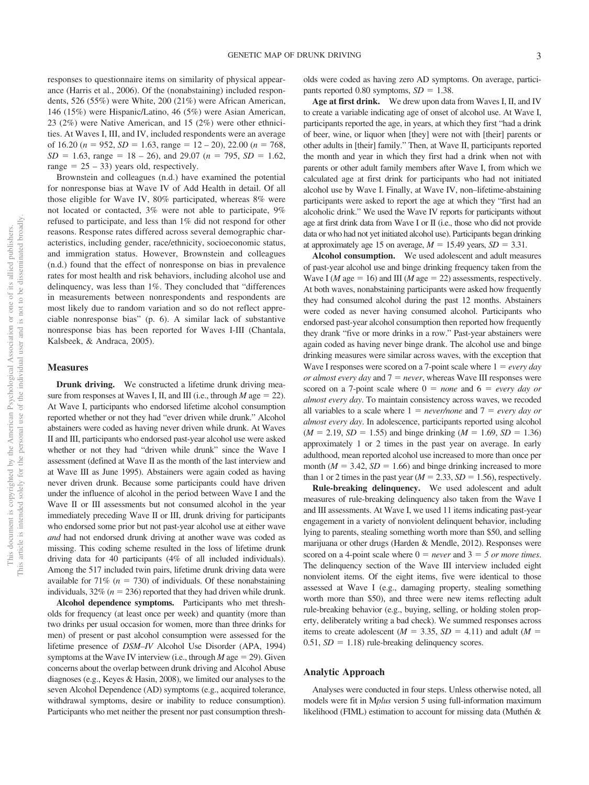responses to questionnaire items on similarity of physical appearance (Harris et al., 2006). Of the (nonabstaining) included respondents, 526 (55%) were White, 200 (21%) were African American, 146 (15%) were Hispanic/Latino, 46 (5%) were Asian American, 23 (2%) were Native American, and 15 (2%) were other ethnicities. At Waves I, III, and IV, included respondents were an average of 16.20 ( $n = 952$ ,  $SD = 1.63$ , range = 12 – 20), 22.00 ( $n = 768$ ,  $SD = 1.63$ , range = 18 – 26), and 29.07 (*n* = 795, *SD* = 1.62, range  $= 25 - 33$ ) years old, respectively.

Brownstein and colleagues (n.d.) have examined the potential for nonresponse bias at Wave IV of Add Health in detail. Of all those eligible for Wave IV, 80% participated, whereas 8% were not located or contacted, 3% were not able to participate, 9% refused to participate, and less than 1% did not respond for other reasons. Response rates differed across several demographic characteristics, including gender, race/ethnicity, socioeconomic status, and immigration status. However, Brownstein and colleagues (n.d.) found that the effect of nonresponse on bias in prevalence rates for most health and risk behaviors, including alcohol use and delinquency, was less than 1%. They concluded that "differences in measurements between nonrespondents and respondents are most likely due to random variation and so do not reflect appreciable nonresponse bias" (p. 6). A similar lack of substantive nonresponse bias has been reported for Waves I-III (Chantala, Kalsbeek, & Andraca, 2005).

#### **Measures**

**Drunk driving.** We constructed a lifetime drunk driving measure from responses at Waves I, II, and III (i.e., through  $M$  age = 22). At Wave I, participants who endorsed lifetime alcohol consumption reported whether or not they had "ever driven while drunk." Alcohol abstainers were coded as having never driven while drunk. At Waves II and III, participants who endorsed past-year alcohol use were asked whether or not they had "driven while drunk" since the Wave I assessment (defined at Wave II as the month of the last interview and at Wave III as June 1995). Abstainers were again coded as having never driven drunk. Because some participants could have driven under the influence of alcohol in the period between Wave I and the Wave II or III assessments but not consumed alcohol in the year immediately preceding Wave II or III, drunk driving for participants who endorsed some prior but not past-year alcohol use at either wave *and* had not endorsed drunk driving at another wave was coded as missing. This coding scheme resulted in the loss of lifetime drunk driving data for 40 participants (4% of all included individuals). Among the 517 included twin pairs, lifetime drunk driving data were available for  $71\%$  ( $n = 730$ ) of individuals. Of these nonabstaining individuals,  $32\%$  ( $n = 236$ ) reported that they had driven while drunk.

**Alcohol dependence symptoms.** Participants who met thresholds for frequency (at least once per week) and quantity (more than two drinks per usual occasion for women, more than three drinks for men) of present or past alcohol consumption were assessed for the lifetime presence of *DSM–IV* Alcohol Use Disorder (APA, 1994) symptoms at the Wave IV interview (i.e., through  $M$  age  $= 29$ ). Given concerns about the overlap between drunk driving and Alcohol Abuse diagnoses (e.g., Keyes & Hasin, 2008), we limited our analyses to the seven Alcohol Dependence (AD) symptoms (e.g., acquired tolerance, withdrawal symptoms, desire or inability to reduce consumption). Participants who met neither the present nor past consumption thresholds were coded as having zero AD symptoms. On average, participants reported 0.80 symptoms,  $SD = 1.38$ .

**Age at first drink.** We drew upon data from Waves I, II, and IV to create a variable indicating age of onset of alcohol use. At Wave I, participants reported the age, in years, at which they first "had a drink of beer, wine, or liquor when [they] were not with [their] parents or other adults in [their] family." Then, at Wave II, participants reported the month and year in which they first had a drink when not with parents or other adult family members after Wave I, from which we calculated age at first drink for participants who had not initiated alcohol use by Wave I. Finally, at Wave IV, non–lifetime-abstaining participants were asked to report the age at which they "first had an alcoholic drink." We used the Wave IV reports for participants without age at first drink data from Wave I or II (i.e., those who did not provide data or who had not yet initiated alcohol use). Participants began drinking at approximately age 15 on average,  $M = 15.49$  years,  $SD = 3.31$ .

**Alcohol consumption.** We used adolescent and adult measures of past-year alcohol use and binge drinking frequency taken from the Wave I (*M* age = 16) and III (*M* age = 22) assessments, respectively. At both waves, nonabstaining participants were asked how frequently they had consumed alcohol during the past 12 months. Abstainers were coded as never having consumed alcohol. Participants who endorsed past-year alcohol consumption then reported how frequently they drank "five or more drinks in a row." Past-year abstainers were again coded as having never binge drank. The alcohol use and binge drinking measures were similar across waves, with the exception that Wave I responses were scored on a 7-point scale where  $1 = every day$ *or almost every day* and  $7 = never$ , whereas Wave III responses were scored on a 7-point scale where  $0 = none$  and  $6 = every day$  or *almost every day*. To maintain consistency across waves, we recoded all variables to a scale where  $1 = never/none$  and  $7 = every$  day or *almost every day*. In adolescence, participants reported using alcohol  $(M = 2.19, SD = 1.55)$  and binge drinking  $(M = 1.69, SD = 1.36)$ approximately 1 or 2 times in the past year on average. In early adulthood, mean reported alcohol use increased to more than once per month ( $M = 3.42$ ,  $SD = 1.66$ ) and binge drinking increased to more than 1 or 2 times in the past year ( $M = 2.33$ ,  $SD = 1.56$ ), respectively.

**Rule-breaking delinquency.** We used adolescent and adult measures of rule-breaking delinquency also taken from the Wave I and III assessments. At Wave I, we used 11 items indicating past-year engagement in a variety of nonviolent delinquent behavior, including lying to parents, stealing something worth more than \$50, and selling marijuana or other drugs (Harden & Mendle, 2012). Responses were scored on a 4-point scale where  $0 = never$  and  $3 = 5$  or more times. The delinquency section of the Wave III interview included eight nonviolent items. Of the eight items, five were identical to those assessed at Wave I (e.g., damaging property, stealing something worth more than \$50), and three were new items reflecting adult rule-breaking behavior (e.g., buying, selling, or holding stolen property, deliberately writing a bad check). We summed responses across items to create adolescent ( $M = 3.35$ ,  $SD = 4.11$ ) and adult ( $M =$ 0.51,  $SD = 1.18$ ) rule-breaking delinquency scores.

#### **Analytic Approach**

Analyses were conducted in four steps. Unless otherwise noted, all models were fit in M*plus* version 5 using full-information maximum likelihood (FIML) estimation to account for missing data (Muthén &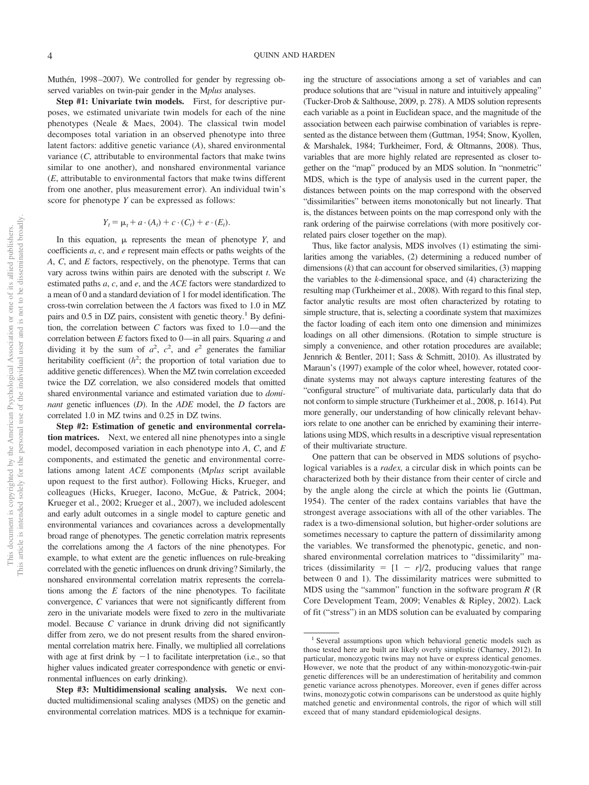Muthén, 1998-2007). We controlled for gender by regressing observed variables on twin-pair gender in the M*plus* analyses.

**Step #1: Univariate twin models.** First, for descriptive purposes, we estimated univariate twin models for each of the nine phenotypes (Neale & Maes, 2004). The classical twin model decomposes total variation in an observed phenotype into three latent factors: additive genetic variance (*A*), shared environmental variance (*C*, attributable to environmental factors that make twins similar to one another), and nonshared environmental variance (*E*, attributable to environmental factors that make twins different from one another, plus measurement error). An individual twin's score for phenotype *Y* can be expressed as follows:

$$
Y_t = \mu_t + a \cdot (A_t) + c \cdot (C_t) + e \cdot (E_t).
$$

In this equation,  $\mu$  represents the mean of phenotype *Y*, and coefficients *a*, *c*, and *e* represent main effects or paths weights of the *A*, *C*, and *E* factors, respectively, on the phenotype. Terms that can vary across twins within pairs are denoted with the subscript *t*. We estimated paths *a*, *c*, and *e*, and the *ACE* factors were standardized to a mean of 0 and a standard deviation of 1 for model identification. The cross-twin correlation between the *A* factors was fixed to 1.0 in MZ pairs and 0.5 in DZ pairs, consistent with genetic theory.<sup>1</sup> By definition, the correlation between *C* factors was fixed to 1.0—and the correlation between *E* factors fixed to 0—in all pairs. Squaring *a* and dividing it by the sum of  $a^2$ ,  $c^2$ , and  $e^2$  generates the familiar heritability coefficient  $(h^2)$ ; the proportion of total variation due to additive genetic differences). When the MZ twin correlation exceeded twice the DZ correlation, we also considered models that omitted shared environmental variance and estimated variation due to *dominant* genetic influences (*D*). In the *ADE* model, the *D* factors are correlated 1.0 in MZ twins and 0.25 in DZ twins.

**Step #2: Estimation of genetic and environmental correlation matrices.** Next, we entered all nine phenotypes into a single model, decomposed variation in each phenotype into *A*, *C*, and *E* components, and estimated the genetic and environmental correlations among latent *ACE* components (M*plus* script available upon request to the first author). Following Hicks, Krueger, and colleagues (Hicks, Krueger, Iacono, McGue, & Patrick, 2004; Krueger et al., 2002; Krueger et al., 2007), we included adolescent and early adult outcomes in a single model to capture genetic and environmental variances and covariances across a developmentally broad range of phenotypes. The genetic correlation matrix represents the correlations among the *A* factors of the nine phenotypes. For example, to what extent are the genetic influences on rule-breaking correlated with the genetic influences on drunk driving? Similarly, the nonshared environmental correlation matrix represents the correlations among the *E* factors of the nine phenotypes. To facilitate convergence, *C* variances that were not significantly different from zero in the univariate models were fixed to zero in the multivariate model. Because *C* variance in drunk driving did not significantly differ from zero, we do not present results from the shared environmental correlation matrix here. Finally, we multiplied all correlations with age at first drink by  $-1$  to facilitate interpretation (i.e., so that higher values indicated greater correspondence with genetic or environmental influences on early drinking).

**Step #3: Multidimensional scaling analysis.** We next conducted multidimensional scaling analyses (MDS) on the genetic and environmental correlation matrices. MDS is a technique for examin-

ing the structure of associations among a set of variables and can produce solutions that are "visual in nature and intuitively appealing" (Tucker-Drob & Salthouse, 2009, p. 278). A MDS solution represents each variable as a point in Euclidean space, and the magnitude of the association between each pairwise combination of variables is represented as the distance between them (Guttman, 1954; Snow, Kyollen, & Marshalek, 1984; Turkheimer, Ford, & Oltmanns, 2008). Thus, variables that are more highly related are represented as closer together on the "map" produced by an MDS solution. In "nonmetric" MDS, which is the type of analysis used in the current paper, the distances between points on the map correspond with the observed "dissimilarities" between items monotonically but not linearly. That is, the distances between points on the map correspond only with the rank ordering of the pairwise correlations (with more positively correlated pairs closer together on the map).

Thus, like factor analysis, MDS involves (1) estimating the similarities among the variables, (2) determining a reduced number of dimensions (*k*) that can account for observed similarities, (3) mapping the variables to the *k*-dimensional space, and (4) characterizing the resulting map (Turkheimer et al., 2008). With regard to this final step, factor analytic results are most often characterized by rotating to simple structure, that is, selecting a coordinate system that maximizes the factor loading of each item onto one dimension and minimizes loadings on all other dimensions. (Rotation to simple structure is simply a convenience, and other rotation procedures are available; Jennrich & Bentler, 2011; Sass & Schmitt, 2010). As illustrated by Maraun's (1997) example of the color wheel, however, rotated coordinate systems may not always capture interesting features of the "configural structure" of multivariate data, particularly data that do not conform to simple structure (Turkheimer et al., 2008, p. 1614). Put more generally, our understanding of how clinically relevant behaviors relate to one another can be enriched by examining their interrelations using MDS, which results in a descriptive visual representation of their multivariate structure.

One pattern that can be observed in MDS solutions of psychological variables is a *radex,* a circular disk in which points can be characterized both by their distance from their center of circle and by the angle along the circle at which the points lie (Guttman, 1954). The center of the radex contains variables that have the strongest average associations with all of the other variables. The radex is a two-dimensional solution, but higher-order solutions are sometimes necessary to capture the pattern of dissimilarity among the variables. We transformed the phenotypic, genetic, and nonshared environmental correlation matrices to "dissimilarity" matrices (dissimilarity  $= [1 - r]/2$ , producing values that range between 0 and 1). The dissimilarity matrices were submitted to MDS using the "sammon" function in the software program *R* (R Core Development Team, 2009; Venables & Ripley, 2002). Lack of fit ("stress") in an MDS solution can be evaluated by comparing

<sup>&</sup>lt;sup>1</sup> Several assumptions upon which behavioral genetic models such as those tested here are built are likely overly simplistic (Charney, 2012). In particular, monozygotic twins may not have or express identical genomes. However, we note that the product of any within-monozygotic-twin-pair genetic differences will be an underestimation of heritability and common genetic variance across phenotypes. Moreover, even if genes differ across twins, monozygotic cotwin comparisons can be understood as quite highly matched genetic and environmental controls, the rigor of which will still exceed that of many standard epidemiological designs.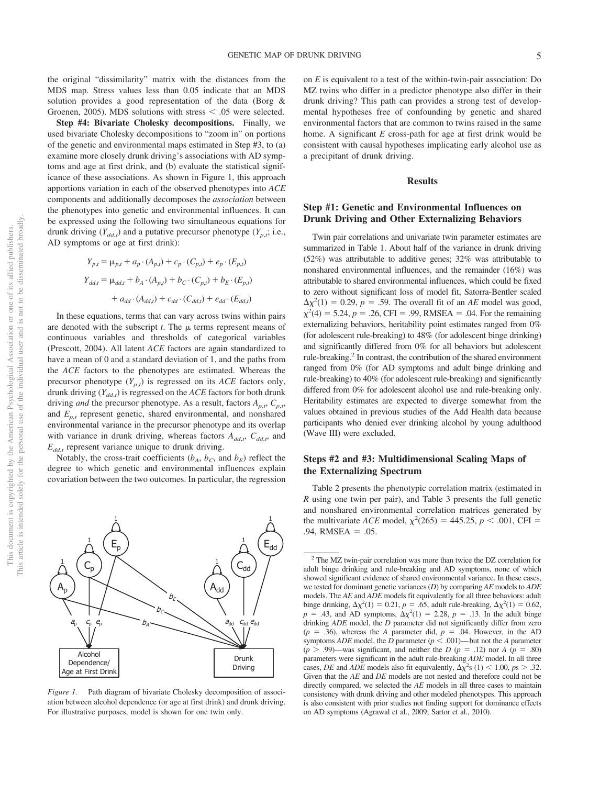**Step #4: Bivariate Cholesky decompositions.** Finally, we used bivariate Cholesky decompositions to "zoom in" on portions of the genetic and environmental maps estimated in Step #3, to (a) examine more closely drunk driving's associations with AD symptoms and age at first drink, and (b) evaluate the statistical significance of these associations. As shown in Figure 1, this approach apportions variation in each of the observed phenotypes into *ACE* components and additionally decomposes the *association* between the phenotypes into genetic and environmental influences. It can be expressed using the following two simultaneous equations for drunk driving  $(Y_{dd,t})$  and a putative precursor phenotype  $(Y_{p,t}; i.e.,$ AD symptoms or age at first drink):

$$
Y_{p,t} = \mu_{p,t} + a_p \cdot (A_{p,t}) + c_p \cdot (C_{p,t}) + e_p \cdot (E_{p,t})
$$
  

$$
Y_{dd,t} = \mu_{dd,t} + b_A \cdot (A_{p,t}) + b_C \cdot (C_{p,t}) + b_E \cdot (E_{p,t})
$$
  

$$
+ a_{dd} \cdot (A_{dd,t}) + c_{dd} \cdot (C_{dd,t}) + e_{dd} \cdot (E_{dd,t})
$$

In these equations, terms that can vary across twins within pairs are denoted with the subscript  $t$ . The  $\mu$  terms represent means of continuous variables and thresholds of categorical variables (Prescott, 2004). All latent *ACE* factors are again standardized to have a mean of 0 and a standard deviation of 1, and the paths from the *ACE* factors to the phenotypes are estimated. Whereas the precursor phenotype  $(Y_{p,t})$  is regressed on its *ACE* factors only, drunk driving  $(Y_{dd,t})$  is regressed on the *ACE* factors for both drunk driving *and* the precursor phenotype. As a result, factors  $A_{p,t}$ ,  $C_{p,t}$ , and  $E_{p,t}$  represent genetic, shared environmental, and nonshared environmental variance in the precursor phenotype and its overlap with variance in drunk driving, whereas factors  $A_{dd,r}$ ,  $C_{dd,r}$ , and  $E_{dd,t}$  represent variance unique to drunk driving.

Notably, the cross-trait coefficients  $(b_A, b_C,$  and  $b_E)$  reflect the degree to which genetic and environmental influences explain covariation between the two outcomes. In particular, the regression



*Figure 1.* Path diagram of bivariate Cholesky decomposition of association between alcohol dependence (or age at first drink) and drunk driving. For illustrative purposes, model is shown for one twin only.

on *E* is equivalent to a test of the within-twin-pair association: Do MZ twins who differ in a predictor phenotype also differ in their drunk driving? This path can provides a strong test of developmental hypotheses free of confounding by genetic and shared environmental factors that are common to twins raised in the same home. A significant *E* cross-path for age at first drink would be consistent with causal hypotheses implicating early alcohol use as a precipitant of drunk driving.

#### **Results**

#### **Step #1: Genetic and Environmental Influences on Drunk Driving and Other Externalizing Behaviors**

Twin pair correlations and univariate twin parameter estimates are summarized in Table 1. About half of the variance in drunk driving (52%) was attributable to additive genes; 32% was attributable to nonshared environmental influences, and the remainder (16%) was attributable to shared environmental influences, which could be fixed to zero without significant loss of model fit, Satorra-Bentler scaled  $\Delta \chi^2(1) = 0.29$ ,  $p = .59$ . The overall fit of an *AE* model was good,  $\chi^2(4) = 5.24, p = .26, \text{CFI} = .99, \text{RMSEA} = .04.$  For the remaining externalizing behaviors, heritability point estimates ranged from 0% (for adolescent rule-breaking) to 48% (for adolescent binge drinking) and significantly differed from 0% for all behaviors but adolescent rule-breaking.<sup>2</sup> In contrast, the contribution of the shared environment ranged from 0% (for AD symptoms and adult binge drinking and rule-breaking) to 40% (for adolescent rule-breaking) and significantly differed from 0% for adolescent alcohol use and rule-breaking only. Heritability estimates are expected to diverge somewhat from the values obtained in previous studies of the Add Health data because participants who denied ever drinking alcohol by young adulthood (Wave III) were excluded.

#### **Steps #2 and #3: Multidimensional Scaling Maps of the Externalizing Spectrum**

Table 2 presents the phenotypic correlation matrix (estimated in *R* using one twin per pair), and Table 3 presents the full genetic and nonshared environmental correlation matrices generated by the multivariate *ACE* model,  $\chi^2(265) = 445.25$ ,  $p < .001$ , CFI =  $.94$ , RMSEA =  $.05$ .

<sup>2</sup> The MZ twin-pair correlation was more than twice the DZ correlation for adult binge drinking and rule-breaking and AD symptoms, none of which showed significant evidence of shared environmental variance. In these cases, we tested for dominant genetic variances (*D*) by comparing *AE* models to *ADE* models. The *AE* and *ADE* models fit equivalently for all three behaviors: adult binge drinking,  $\Delta \chi^2(1) = 0.21$ ,  $p = .65$ , adult rule-breaking,  $\Delta \chi^2(1) = 0.62$ ,  $p = .43$ , and AD symptoms,  $\Delta \chi^2(1) = 2.28$ ,  $p = .13$ . In the adult binge drinking *ADE* model, the *D* parameter did not significantly differ from zero  $(p = .36)$ , whereas the *A* parameter did,  $p = .04$ . However, in the AD symptoms *ADE* model, the *D* parameter ( $p < .001$ )— but not the *A* parameter  $(p > .99)$ —was significant, and neither the *D* ( $p = .12$ ) nor *A* ( $p = .80$ ) parameters were significant in the adult rule-breaking *ADE* model. In all three cases, *DE* and *ADE* models also fit equivalently,  $\Delta \chi^2$ s (1) < 1.00, *ps* > .32. Given that the *AE* and *DE* models are not nested and therefore could not be directly compared, we selected the *AE* models in all three cases to maintain consistency with drunk driving and other modeled phenotypes. This approach is also consistent with prior studies not finding support for dominance effects on AD symptoms (Agrawal et al., 2009; Sartor et al., 2010).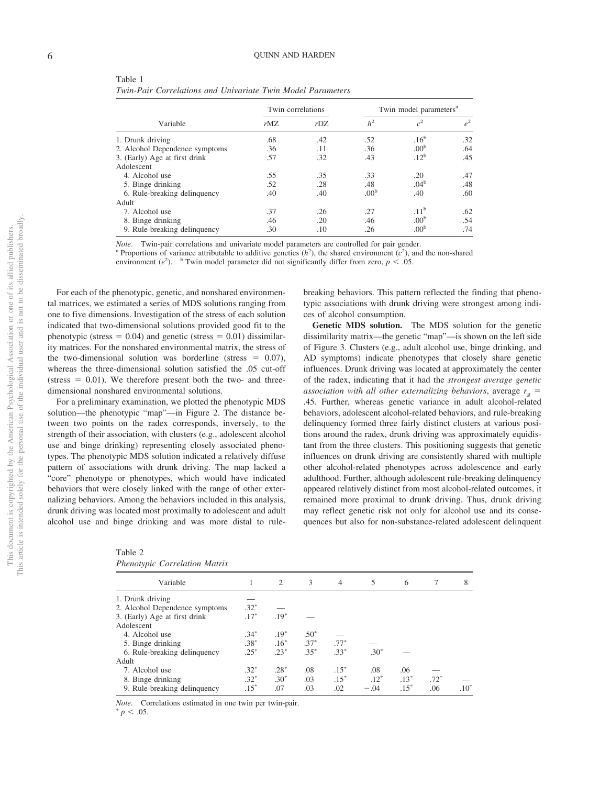| Table 1                                                     |  |  |
|-------------------------------------------------------------|--|--|
| Twin-Pair Correlations and Univariate Twin Model Parameters |  |  |

| Variable                       | Twin correlations |         | Twin model parameters <sup>a</sup> |                  |       |  |  |
|--------------------------------|-------------------|---------|------------------------------------|------------------|-------|--|--|
|                                | $r$ MZ            | $r$ DZ. | h <sup>2</sup>                     | c <sup>2</sup>   | $e^2$ |  |  |
| 1. Drunk driving               | .68               | .42     | .52                                | .16 <sup>b</sup> | .32   |  |  |
| 2. Alcohol Dependence symptoms | .36               | .11     | .36                                | .00 <sup>b</sup> | .64   |  |  |
| 3. (Early) Age at first drink  | .57               | .32     | .43                                | .12 <sup>b</sup> | .45   |  |  |
| Adolescent                     |                   |         |                                    |                  |       |  |  |
| 4. Alcohol use                 | .55               | .35     | .33                                | .20              | .47   |  |  |
| 5. Binge drinking              | .52               | .28     | .48                                | .04 <sup>b</sup> | .48   |  |  |
| 6. Rule-breaking delinquency   | .40               | .40     | .00 <sup>b</sup>                   | .40              | .60   |  |  |
| Adult                          |                   |         |                                    |                  |       |  |  |
| 7. Alcohol use                 | .37               | .26     | .27                                | .11 <sup>b</sup> | .62   |  |  |
| 8. Binge drinking              | .46               | .20     | .46                                | .00 <sup>b</sup> | .54   |  |  |
| 9. Rule-breaking delinquency   | .30               | .10     | .26                                | .00 <sup>b</sup> | .74   |  |  |
|                                |                   |         |                                    |                  |       |  |  |

*Note.* Twin-pair correlations and univariate model parameters are controlled for pair gender.<br><sup>a</sup> Proportions of variance attributable to additive genetics ( $h^2$ ), the shared environment ( $c^2$ ), and the non-shared environment  $(e^2)$ . <sup>b</sup> Twin model parameter did not significantly differ from zero,  $p < .05$ .

For each of the phenotypic, genetic, and nonshared environmental matrices, we estimated a series of MDS solutions ranging from one to five dimensions. Investigation of the stress of each solution indicated that two-dimensional solutions provided good fit to the phenotypic (stress  $= 0.04$ ) and genetic (stress  $= 0.01$ ) dissimilarity matrices. For the nonshared environmental matrix, the stress of the two-dimensional solution was borderline (stress  $= 0.07$ ), whereas the three-dimensional solution satisfied the .05 cut-off (stress  $= 0.01$ ). We therefore present both the two- and threedimensional nonshared environmental solutions.

For a preliminary examination, we plotted the phenotypic MDS solution—the phenotypic "map"—in Figure 2. The distance between two points on the radex corresponds, inversely, to the strength of their association, with clusters (e.g., adolescent alcohol use and binge drinking) representing closely associated phenotypes. The phenotypic MDS solution indicated a relatively diffuse pattern of associations with drunk driving. The map lacked a "core" phenotype or phenotypes, which would have indicated behaviors that were closely linked with the range of other externalizing behaviors. Among the behaviors included in this analysis, drunk driving was located most proximally to adolescent and adult alcohol use and binge drinking and was more distal to rule-

*Phenotypic Correlation Matrix*

| breaking behaviors. This pattern reflected the finding that pheno- |
|--------------------------------------------------------------------|
| typic associations with drunk driving were strongest among indi-   |
| ces of alcohol consumption.                                        |

**Genetic MDS solution.** The MDS solution for the genetic dissimilarity matrix—the genetic "map"—is shown on the left side of Figure 3. Clusters (e.g., adult alcohol use, binge drinking, and AD symptoms) indicate phenotypes that closely share genetic influences. Drunk driving was located at approximately the center of the radex, indicating that it had the *strongest average genetic association with all other externalizing behaviors, average*  $r<sub>g</sub>$  = .45. Further, whereas genetic variance in adult alcohol-related behaviors, adolescent alcohol-related behaviors, and rule-breaking delinquency formed three fairly distinct clusters at various positions around the radex, drunk driving was approximately equidistant from the three clusters. This positioning suggests that genetic influences on drunk driving are consistently shared with multiple other alcohol-related phenotypes across adolescence and early adulthood. Further, although adolescent rule-breaking delinquency appeared relatively distinct from most alcohol-related outcomes, it remained more proximal to drunk driving. Thus, drunk driving may reflect genetic risk not only for alcohol use and its consequences but also for non-substance-related adolescent delinquent

| $\sim$ 1                       |        |                |        |                |        |        |        |        |
|--------------------------------|--------|----------------|--------|----------------|--------|--------|--------|--------|
| Variable                       |        | $\overline{2}$ | 3      | $\overline{4}$ | 5      | 6      |        | 8      |
| 1. Drunk driving               |        |                |        |                |        |        |        |        |
| 2. Alcohol Dependence symptoms | $.32*$ |                |        |                |        |        |        |        |
| 3. (Early) Age at first drink  | $.17*$ | $.19*$         |        |                |        |        |        |        |
| Adolescent                     |        |                |        |                |        |        |        |        |
| 4. Alcohol use                 | $.34*$ | $.19*$         | $.50*$ |                |        |        |        |        |
| 5. Binge drinking              | $.38*$ | $.16*$         | $.37*$ | $.77*$         |        |        |        |        |
| 6. Rule-breaking delinquency   | $.25*$ | $.23*$         | $.35*$ | $.33*$         | $.30*$ |        |        |        |
| Adult                          |        |                |        |                |        |        |        |        |
| 7. Alcohol use                 | $.32*$ | $.28*$         | .08    | $.15*$         | .08    | .06    |        |        |
| 8. Binge drinking              | $.32*$ | $.30*$         | .03    | $.15*$         | $.12*$ | $.13*$ | $.72*$ |        |
| 9. Rule-breaking delinquency   | $.15*$ | .07            | .03    | .02            | $-.04$ | $.15*$ | .06    | $.10*$ |
|                                |        |                |        |                |        |        |        |        |

*Note.* Correlations estimated in one twin per twin-pair.  $p < .05$ .

Table 2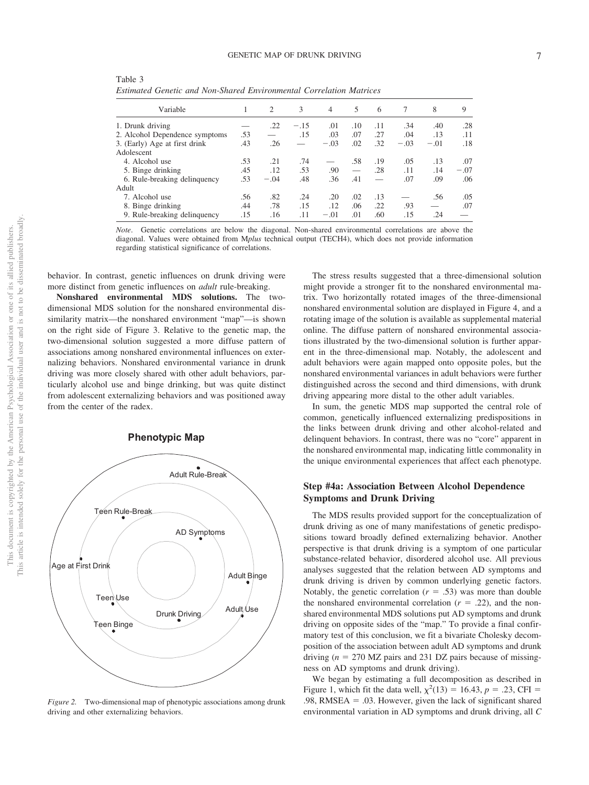| Variable                       |     | 2      | 3      | $\overline{4}$ | 5   | 6   | 7      | 8      | 9      |
|--------------------------------|-----|--------|--------|----------------|-----|-----|--------|--------|--------|
| 1. Drunk driving               |     | .22    | $-.15$ | .01            | .10 | .11 | .34    | .40    | .28    |
| 2. Alcohol Dependence symptoms | .53 |        | .15    | .03            | .07 | .27 | .04    | .13    | .11    |
| 3. (Early) Age at first drink  | .43 | .26    |        | $-.03$         | .02 | .32 | $-.03$ | $-.01$ | .18    |
| Adolescent                     |     |        |        |                |     |     |        |        |        |
| 4. Alcohol use                 | .53 | .21    | .74    |                | .58 | .19 | .05    | .13    | .07    |
| 5. Binge drinking              | .45 | .12    | .53    | .90            |     | .28 | .11    | .14    | $-.07$ |
| 6. Rule-breaking delinquency   | .53 | $-.04$ | .48    | .36            | .41 |     | .07    | .09    | .06    |
| Adult                          |     |        |        |                |     |     |        |        |        |
| 7. Alcohol use                 | .56 | .82    | .24    | .20            | .02 | .13 |        | .56    | .05    |
| 8. Binge drinking              | .44 | .78    | .15    | .12            | .06 | .22 | .93    |        | .07    |
| 9. Rule-breaking delinquency   | .15 | .16    | .11    | $-.01$         | .01 | .60 | .15    | .24    |        |

Table 3 *Estimated Genetic and Non-Shared Environmental Correlation Matrices*

*Note*. Genetic correlations are below the diagonal. Non-shared environmental correlations are above the diagonal. Values were obtained from M*plus* technical output (TECH4), which does not provide information regarding statistical significance of correlations.

behavior. In contrast, genetic influences on drunk driving were more distinct from genetic influences on *adult* rule-breaking.

**Nonshared environmental MDS solutions.** The twodimensional MDS solution for the nonshared environmental dissimilarity matrix—the nonshared environment "map"—is shown on the right side of Figure 3. Relative to the genetic map, the two-dimensional solution suggested a more diffuse pattern of associations among nonshared environmental influences on externalizing behaviors. Nonshared environmental variance in drunk driving was more closely shared with other adult behaviors, particularly alcohol use and binge drinking, but was quite distinct from adolescent externalizing behaviors and was positioned away from the center of the radex.

#### **Phenotypic Map**



*Figure 2.* Two-dimensional map of phenotypic associations among drunk driving and other externalizing behaviors.

The stress results suggested that a three-dimensional solution might provide a stronger fit to the nonshared environmental matrix. Two horizontally rotated images of the three-dimensional nonshared environmental solution are displayed in Figure 4, and a rotating image of the solution is available as supplemental material online. The diffuse pattern of nonshared environmental associations illustrated by the two-dimensional solution is further apparent in the three-dimensional map. Notably, the adolescent and adult behaviors were again mapped onto opposite poles, but the nonshared environmental variances in adult behaviors were further distinguished across the second and third dimensions, with drunk driving appearing more distal to the other adult variables.

In sum, the genetic MDS map supported the central role of common, genetically influenced externalizing predispositions in the links between drunk driving and other alcohol-related and delinquent behaviors. In contrast, there was no "core" apparent in the nonshared environmental map, indicating little commonality in the unique environmental experiences that affect each phenotype.

#### **Step #4a: Association Between Alcohol Dependence Symptoms and Drunk Driving**

The MDS results provided support for the conceptualization of drunk driving as one of many manifestations of genetic predispositions toward broadly defined externalizing behavior. Another perspective is that drunk driving is a symptom of one particular substance-related behavior, disordered alcohol use. All previous analyses suggested that the relation between AD symptoms and drunk driving is driven by common underlying genetic factors. Notably, the genetic correlation  $(r = .53)$  was more than double the nonshared environmental correlation  $(r = .22)$ , and the nonshared environmental MDS solutions put AD symptoms and drunk driving on opposite sides of the "map." To provide a final confirmatory test of this conclusion, we fit a bivariate Cholesky decomposition of the association between adult AD symptoms and drunk driving  $(n = 270$  MZ pairs and 231 DZ pairs because of missingness on AD symptoms and drunk driving).

We began by estimating a full decomposition as described in Figure 1, which fit the data well,  $\chi^2(13) = 16.43$ ,  $p = .23$ , CFI = .98, RMSEA  $=$  .03. However, given the lack of significant shared environmental variation in AD symptoms and drunk driving, all *C*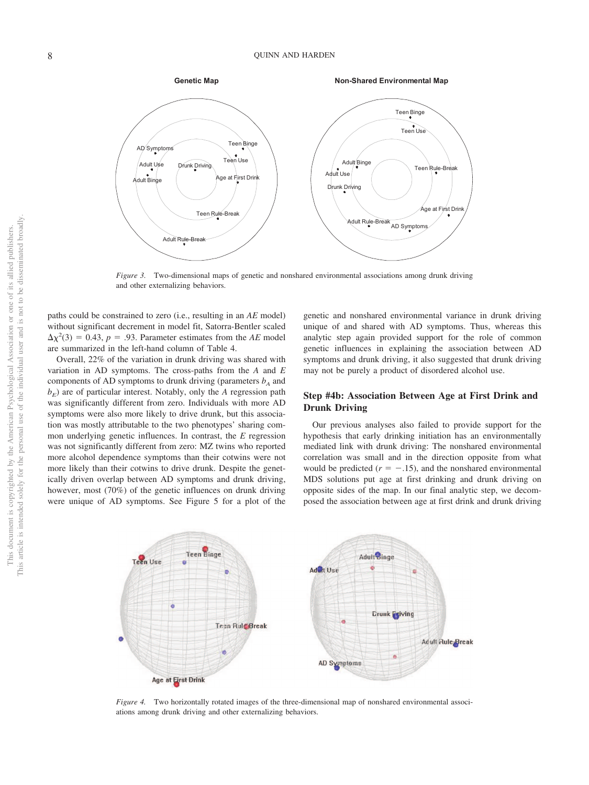

*Figure 3.* Two-dimensional maps of genetic and nonshared environmental associations among drunk driving and other externalizing behaviors.

paths could be constrained to zero (i.e., resulting in an *AE* model) without significant decrement in model fit, Satorra-Bentler scaled  $\Delta \chi^2(3) = 0.43$ ,  $p = .93$ . Parameter estimates from the *AE* model are summarized in the left-hand column of Table 4.

Overall, 22% of the variation in drunk driving was shared with variation in AD symptoms. The cross-paths from the *A* and *E* components of AD symptoms to drunk driving (parameters  $b_A$  and  $b<sub>E</sub>$ ) are of particular interest. Notably, only the *A* regression path was significantly different from zero. Individuals with more AD symptoms were also more likely to drive drunk, but this association was mostly attributable to the two phenotypes' sharing common underlying genetic influences. In contrast, the *E* regression was not significantly different from zero: MZ twins who reported more alcohol dependence symptoms than their cotwins were not more likely than their cotwins to drive drunk. Despite the genetically driven overlap between AD symptoms and drunk driving, however, most (70%) of the genetic influences on drunk driving were unique of AD symptoms. See Figure 5 for a plot of the

genetic and nonshared environmental variance in drunk driving unique of and shared with AD symptoms. Thus, whereas this analytic step again provided support for the role of common genetic influences in explaining the association between AD symptoms and drunk driving, it also suggested that drunk driving may not be purely a product of disordered alcohol use.

#### **Step #4b: Association Between Age at First Drink and Drunk Driving**

Our previous analyses also failed to provide support for the hypothesis that early drinking initiation has an environmentally mediated link with drunk driving: The nonshared environmental correlation was small and in the direction opposite from what would be predicted  $(r = -.15)$ , and the nonshared environmental MDS solutions put age at first drinking and drunk driving on opposite sides of the map. In our final analytic step, we decomposed the association between age at first drink and drunk driving



*Figure 4.* Two horizontally rotated images of the three-dimensional map of nonshared environmental associations among drunk driving and other externalizing behaviors.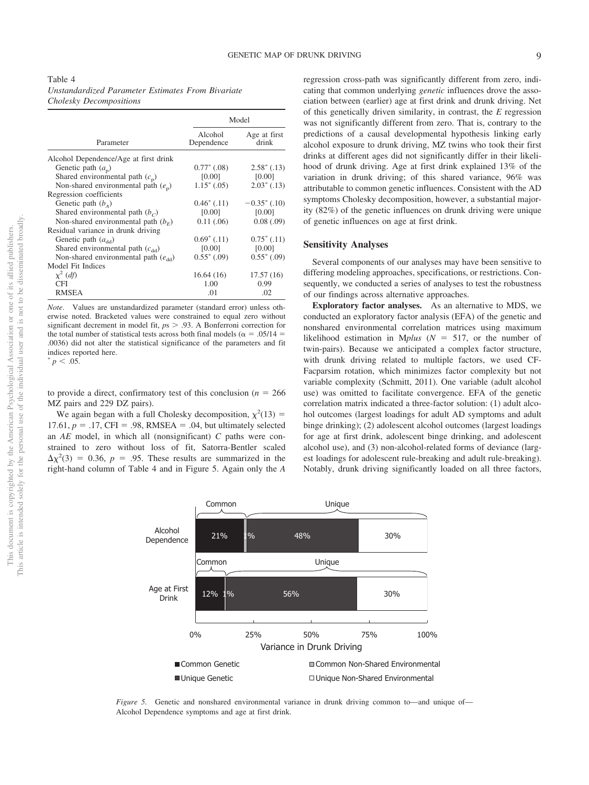|                                          | Model                 |                       |  |  |  |
|------------------------------------------|-----------------------|-----------------------|--|--|--|
| Parameter                                | Alcohol<br>Dependence | Age at first<br>drink |  |  |  |
| Alcohol Dependence/Age at first drink    |                       |                       |  |  |  |
| Genetic path $(a_n)$                     | $0.77^*$ (.08)        | $2.58^*$ (.13)        |  |  |  |
| Shared environmental path $(c_p)$        | [0.00]                | [0.00]                |  |  |  |
| Non-shared environmental path $(e_n)$    | $1.15^*$ (.05)        | $2.03^*$ (.13)        |  |  |  |
| Regression coefficients                  |                       |                       |  |  |  |
| Genetic path $(b_4)$                     | $0.46^*$ (.11)        | $-0.35^*$ (.10)       |  |  |  |
| Shared environmental path $(bc)$         | [0.00]                | [0.00]                |  |  |  |
| Non-shared environmental path $(b_F)$    | 0.11(.06)             | 0.08(0.09)            |  |  |  |
| Residual variance in drunk driving       |                       |                       |  |  |  |
| Genetic path $(a_{dd})$                  | $0.69^{\ast}$ (.11)   | $0.75^*$ (.11)        |  |  |  |
| Shared environmental path $(c_{dd})$     | [0.00]                | [0.00]                |  |  |  |
| Non-shared environmental path $(e_{dd})$ | $0.55^*$ (.09)        | $0.55^*$ (.09)        |  |  |  |
| Model Fit Indices                        |                       |                       |  |  |  |
| $\chi^2$ (df)                            | 16.64(16)             | 17.57(16)             |  |  |  |
| CFI                                      | 1.00                  | 0.99                  |  |  |  |
| <b>RMSEA</b>                             | .01                   | .02                   |  |  |  |

*Note*. Values are unstandardized parameter (standard error) unless otherwise noted. Bracketed values were constrained to equal zero without significant decrement in model fit,  $p_s > .93$ . A Bonferroni correction for the total number of statistical tests across both final models ( $\alpha = .05/14$ ) .0036) did not alter the statistical significance of the parameters and fit indices reported here.

 $p < .05$ .

to provide a direct, confirmatory test of this conclusion ( $n = 266$ ) MZ pairs and 229 DZ pairs).

We again began with a full Cholesky decomposition,  $\chi^2(13)$  = 17.61,  $p = .17$ , CFI = .98, RMSEA = .04, but ultimately selected an *AE* model, in which all (nonsignificant) *C* paths were constrained to zero without loss of fit, Satorra-Bentler scaled  $\Delta \chi^2(3) = 0.36$ ,  $p = .95$ . These results are summarized in the right-hand column of Table 4 and in Figure 5. Again only the *A* regression cross-path was significantly different from zero, indicating that common underlying *genetic* influences drove the association between (earlier) age at first drink and drunk driving. Net of this genetically driven similarity, in contrast, the *E* regression was not significantly different from zero. That is, contrary to the predictions of a causal developmental hypothesis linking early alcohol exposure to drunk driving, MZ twins who took their first drinks at different ages did not significantly differ in their likelihood of drunk driving. Age at first drink explained 13% of the variation in drunk driving; of this shared variance, 96% was attributable to common genetic influences. Consistent with the AD symptoms Cholesky decomposition, however, a substantial majority (82%) of the genetic influences on drunk driving were unique of genetic influences on age at first drink.

#### **Sensitivity Analyses**

Several components of our analyses may have been sensitive to differing modeling approaches, specifications, or restrictions. Consequently, we conducted a series of analyses to test the robustness of our findings across alternative approaches.

**Exploratory factor analyses.** As an alternative to MDS, we conducted an exploratory factor analysis (EFA) of the genetic and nonshared environmental correlation matrices using maximum likelihood estimation in Mplus  $(N = 517)$ , or the number of twin-pairs). Because we anticipated a complex factor structure, with drunk driving related to multiple factors, we used CF-Facparsim rotation, which minimizes factor complexity but not variable complexity (Schmitt, 2011). One variable (adult alcohol use) was omitted to facilitate convergence. EFA of the genetic correlation matrix indicated a three-factor solution: (1) adult alcohol outcomes (largest loadings for adult AD symptoms and adult binge drinking); (2) adolescent alcohol outcomes (largest loadings for age at first drink, adolescent binge drinking, and adolescent alcohol use), and (3) non-alcohol-related forms of deviance (largest loadings for adolescent rule-breaking and adult rule-breaking). Notably, drunk driving significantly loaded on all three factors,



not to be disseminated broadly one of its allied publishers.

 $\overleftarrow{\mathrm{O}}$ Š.



*Figure 5.* Genetic and nonshared environmental variance in drunk driving common to—and unique of— Alcohol Dependence symptoms and age at first drink.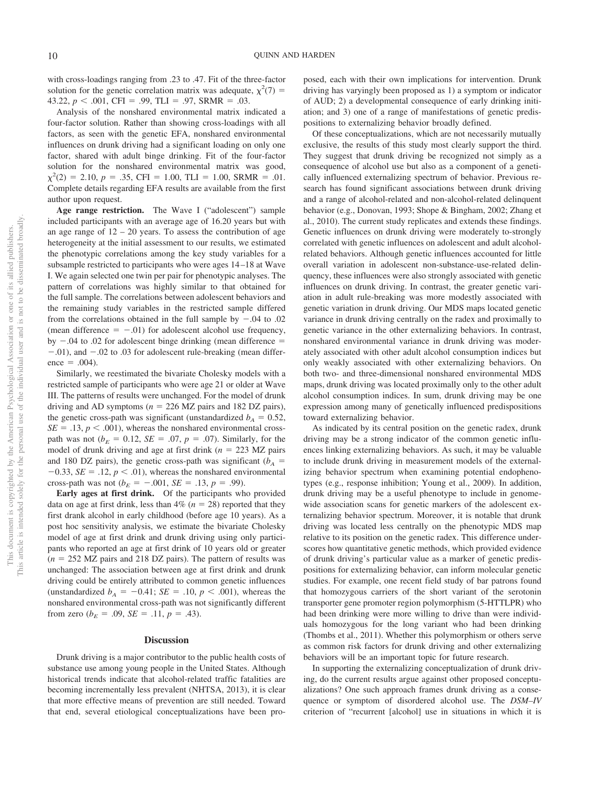with cross-loadings ranging from .23 to .47. Fit of the three-factor solution for the genetic correlation matrix was adequate,  $\chi^2(7)$  = 43.22,  $p < .001$ , CFI = .99, TLI = .97, SRMR = .03.

Analysis of the nonshared environmental matrix indicated a four-factor solution. Rather than showing cross-loadings with all factors, as seen with the genetic EFA, nonshared environmental influences on drunk driving had a significant loading on only one factor, shared with adult binge drinking. Fit of the four-factor solution for the nonshared environmental matrix was good,  $\chi^2(2) = 2.10, p = .35, \text{CFI} = 1.00, \text{TLI} = 1.00, \text{SRMR} = .01.$ Complete details regarding EFA results are available from the first author upon request.

**Age range restriction.** The Wave I ("adolescent") sample included participants with an average age of 16.20 years but with an age range of  $12 - 20$  years. To assess the contribution of age heterogeneity at the initial assessment to our results, we estimated the phenotypic correlations among the key study variables for a subsample restricted to participants who were ages 14 –18 at Wave I. We again selected one twin per pair for phenotypic analyses. The pattern of correlations was highly similar to that obtained for the full sample. The correlations between adolescent behaviors and the remaining study variables in the restricted sample differed from the correlations obtained in the full sample by  $-.04$  to  $.02$ (mean difference  $= -0.01$ ) for adolescent alcohol use frequency, by  $-.04$  to  $.02$  for adolescent binge drinking (mean difference  $=$  $-.01$ ), and  $-.02$  to  $.03$  for adolescent rule-breaking (mean differ $e^2 = .004$ .

Similarly, we reestimated the bivariate Cholesky models with a restricted sample of participants who were age 21 or older at Wave III. The patterns of results were unchanged. For the model of drunk driving and AD symptoms ( $n = 226$  MZ pairs and 182 DZ pairs), the genetic cross-path was significant (unstandardized  $b_A = 0.52$ ,  $SE = .13$ ,  $p < .001$ ), whereas the nonshared environmental crosspath was not  $(b_F = 0.12, SE = .07, p = .07)$ . Similarly, for the model of drunk driving and age at first drink (*n* 223 MZ pairs and 180 DZ pairs), the genetic cross-path was significant ( $b_A$  =  $-0.33$ , *SE* = .12,  $p < .01$ ), whereas the nonshared environmental cross-path was not ( $b_E = -.001$ , *SE* = .13, *p* = .99).

**Early ages at first drink.** Of the participants who provided data on age at first drink, less than  $4\%$  ( $n = 28$ ) reported that they first drank alcohol in early childhood (before age 10 years). As a post hoc sensitivity analysis, we estimate the bivariate Cholesky model of age at first drink and drunk driving using only participants who reported an age at first drink of 10 years old or greater  $(n = 252 \text{ MZ} \text{ pairs and } 218 \text{ DZ} \text{ pairs}).$  The pattern of results was unchanged: The association between age at first drink and drunk driving could be entirely attributed to common genetic influences (unstandardized  $b_A = -0.41$ ; *SE* = .10,  $p < .001$ ), whereas the nonshared environmental cross-path was not significantly different from zero ( $b_E$  = .09, *SE* = .11, *p* = .43).

#### **Discussion**

Drunk driving is a major contributor to the public health costs of substance use among young people in the United States. Although historical trends indicate that alcohol-related traffic fatalities are becoming incrementally less prevalent (NHTSA, 2013), it is clear that more effective means of prevention are still needed. Toward that end, several etiological conceptualizations have been pro-

posed, each with their own implications for intervention. Drunk driving has varyingly been proposed as 1) a symptom or indicator of AUD; 2) a developmental consequence of early drinking initiation; and 3) one of a range of manifestations of genetic predispositions to externalizing behavior broadly defined.

Of these conceptualizations, which are not necessarily mutually exclusive, the results of this study most clearly support the third. They suggest that drunk driving be recognized not simply as a consequence of alcohol use but also as a component of a genetically influenced externalizing spectrum of behavior. Previous research has found significant associations between drunk driving and a range of alcohol-related and non-alcohol-related delinquent behavior (e.g., Donovan, 1993; Shope & Bingham, 2002; Zhang et al., 2010). The current study replicates and extends these findings. Genetic influences on drunk driving were moderately to-strongly correlated with genetic influences on adolescent and adult alcoholrelated behaviors. Although genetic influences accounted for little overall variation in adolescent non-substance-use-related delinquency, these influences were also strongly associated with genetic influences on drunk driving. In contrast, the greater genetic variation in adult rule-breaking was more modestly associated with genetic variation in drunk driving. Our MDS maps located genetic variance in drunk driving centrally on the radex and proximally to genetic variance in the other externalizing behaviors. In contrast, nonshared environmental variance in drunk driving was moderately associated with other adult alcohol consumption indices but only weakly associated with other externalizing behaviors. On both two- and three-dimensional nonshared environmental MDS maps, drunk driving was located proximally only to the other adult alcohol consumption indices. In sum, drunk driving may be one expression among many of genetically influenced predispositions toward externalizing behavior.

As indicated by its central position on the genetic radex, drunk driving may be a strong indicator of the common genetic influences linking externalizing behaviors. As such, it may be valuable to include drunk driving in measurement models of the externalizing behavior spectrum when examining potential endophenotypes (e.g., response inhibition; Young et al., 2009). In addition, drunk driving may be a useful phenotype to include in genomewide association scans for genetic markers of the adolescent externalizing behavior spectrum. Moreover, it is notable that drunk driving was located less centrally on the phenotypic MDS map relative to its position on the genetic radex. This difference underscores how quantitative genetic methods, which provided evidence of drunk driving's particular value as a marker of genetic predispositions for externalizing behavior, can inform molecular genetic studies. For example, one recent field study of bar patrons found that homozygous carriers of the short variant of the serotonin transporter gene promoter region polymorphism (5-HTTLPR) who had been drinking were more willing to drive than were individuals homozygous for the long variant who had been drinking (Thombs et al., 2011). Whether this polymorphism or others serve as common risk factors for drunk driving and other externalizing behaviors will be an important topic for future research.

In supporting the externalizing conceptualization of drunk driving, do the current results argue against other proposed conceptualizations? One such approach frames drunk driving as a consequence or symptom of disordered alcohol use. The *DSM–IV* criterion of "recurrent [alcohol] use in situations in which it is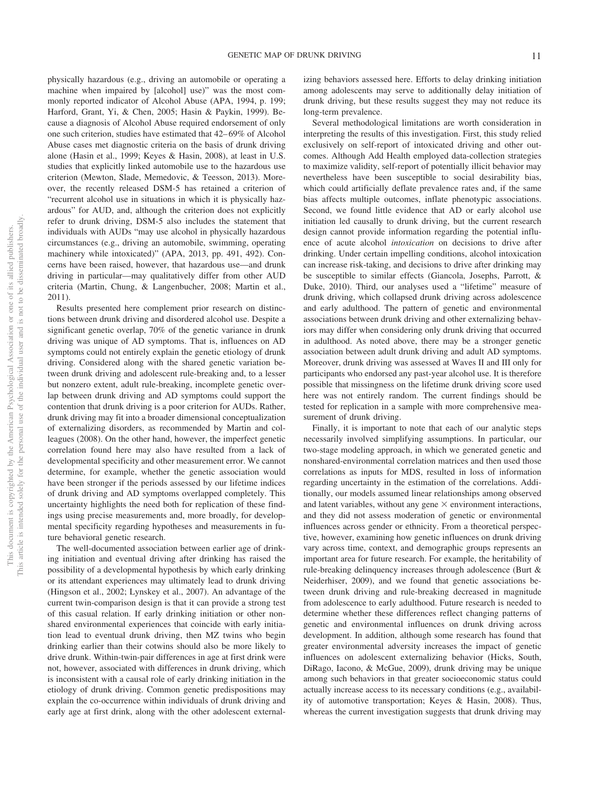physically hazardous (e.g., driving an automobile or operating a machine when impaired by [alcohol] use)" was the most commonly reported indicator of Alcohol Abuse (APA, 1994, p. 199; Harford, Grant, Yi, & Chen, 2005; Hasin & Paykin, 1999). Because a diagnosis of Alcohol Abuse required endorsement of only one such criterion, studies have estimated that 42– 69% of Alcohol Abuse cases met diagnostic criteria on the basis of drunk driving alone (Hasin et al., 1999; Keyes & Hasin, 2008), at least in U.S. studies that explicitly linked automobile use to the hazardous use criterion (Mewton, Slade, Memedovic, & Teesson, 2013). Moreover, the recently released DSM-5 has retained a criterion of "recurrent alcohol use in situations in which it is physically hazardous" for AUD, and, although the criterion does not explicitly refer to drunk driving, DSM-5 also includes the statement that individuals with AUDs "may use alcohol in physically hazardous circumstances (e.g., driving an automobile, swimming, operating machinery while intoxicated)" (APA, 2013, pp. 491, 492). Concerns have been raised, however, that hazardous use—and drunk driving in particular—may qualitatively differ from other AUD criteria (Martin, Chung, & Langenbucher, 2008; Martin et al., 2011).

Results presented here complement prior research on distinctions between drunk driving and disordered alcohol use. Despite a significant genetic overlap, 70% of the genetic variance in drunk driving was unique of AD symptoms. That is, influences on AD symptoms could not entirely explain the genetic etiology of drunk driving. Considered along with the shared genetic variation between drunk driving and adolescent rule-breaking and, to a lesser but nonzero extent, adult rule-breaking, incomplete genetic overlap between drunk driving and AD symptoms could support the contention that drunk driving is a poor criterion for AUDs. Rather, drunk driving may fit into a broader dimensional conceptualization of externalizing disorders, as recommended by Martin and colleagues (2008). On the other hand, however, the imperfect genetic correlation found here may also have resulted from a lack of developmental specificity and other measurement error. We cannot determine, for example, whether the genetic association would have been stronger if the periods assessed by our lifetime indices of drunk driving and AD symptoms overlapped completely. This uncertainty highlights the need both for replication of these findings using precise measurements and, more broadly, for developmental specificity regarding hypotheses and measurements in future behavioral genetic research.

The well-documented association between earlier age of drinking initiation and eventual driving after drinking has raised the possibility of a developmental hypothesis by which early drinking or its attendant experiences may ultimately lead to drunk driving (Hingson et al., 2002; Lynskey et al., 2007). An advantage of the current twin-comparison design is that it can provide a strong test of this casual relation. If early drinking initiation or other nonshared environmental experiences that coincide with early initiation lead to eventual drunk driving, then MZ twins who begin drinking earlier than their cotwins should also be more likely to drive drunk. Within-twin-pair differences in age at first drink were not, however, associated with differences in drunk driving, which is inconsistent with a causal role of early drinking initiation in the etiology of drunk driving. Common genetic predispositions may explain the co-occurrence within individuals of drunk driving and early age at first drink, along with the other adolescent external-

izing behaviors assessed here. Efforts to delay drinking initiation among adolescents may serve to additionally delay initiation of drunk driving, but these results suggest they may not reduce its long-term prevalence.

Several methodological limitations are worth consideration in interpreting the results of this investigation. First, this study relied exclusively on self-report of intoxicated driving and other outcomes. Although Add Health employed data-collection strategies to maximize validity, self-report of potentially illicit behavior may nevertheless have been susceptible to social desirability bias, which could artificially deflate prevalence rates and, if the same bias affects multiple outcomes, inflate phenotypic associations. Second, we found little evidence that AD or early alcohol use initiation led causally to drunk driving, but the current research design cannot provide information regarding the potential influence of acute alcohol *intoxication* on decisions to drive after drinking. Under certain impelling conditions, alcohol intoxication can increase risk-taking, and decisions to drive after drinking may be susceptible to similar effects (Giancola, Josephs, Parrott, & Duke, 2010). Third, our analyses used a "lifetime" measure of drunk driving, which collapsed drunk driving across adolescence and early adulthood. The pattern of genetic and environmental associations between drunk driving and other externalizing behaviors may differ when considering only drunk driving that occurred in adulthood. As noted above, there may be a stronger genetic association between adult drunk driving and adult AD symptoms. Moreover, drunk driving was assessed at Waves II and III only for participants who endorsed any past-year alcohol use. It is therefore possible that missingness on the lifetime drunk driving score used here was not entirely random. The current findings should be tested for replication in a sample with more comprehensive measurement of drunk driving.

Finally, it is important to note that each of our analytic steps necessarily involved simplifying assumptions. In particular, our two-stage modeling approach, in which we generated genetic and nonshared-environmental correlation matrices and then used those correlations as inputs for MDS, resulted in loss of information regarding uncertainty in the estimation of the correlations. Additionally, our models assumed linear relationships among observed and latent variables, without any gene  $\times$  environment interactions, and they did not assess moderation of genetic or environmental influences across gender or ethnicity. From a theoretical perspective, however, examining how genetic influences on drunk driving vary across time, context, and demographic groups represents an important area for future research. For example, the heritability of rule-breaking delinquency increases through adolescence (Burt & Neiderhiser, 2009), and we found that genetic associations between drunk driving and rule-breaking decreased in magnitude from adolescence to early adulthood. Future research is needed to determine whether these differences reflect changing patterns of genetic and environmental influences on drunk driving across development. In addition, although some research has found that greater environmental adversity increases the impact of genetic influences on adolescent externalizing behavior (Hicks, South, DiRago, Iacono, & McGue, 2009), drunk driving may be unique among such behaviors in that greater socioeconomic status could actually increase access to its necessary conditions (e.g., availability of automotive transportation; Keyes & Hasin, 2008). Thus, whereas the current investigation suggests that drunk driving may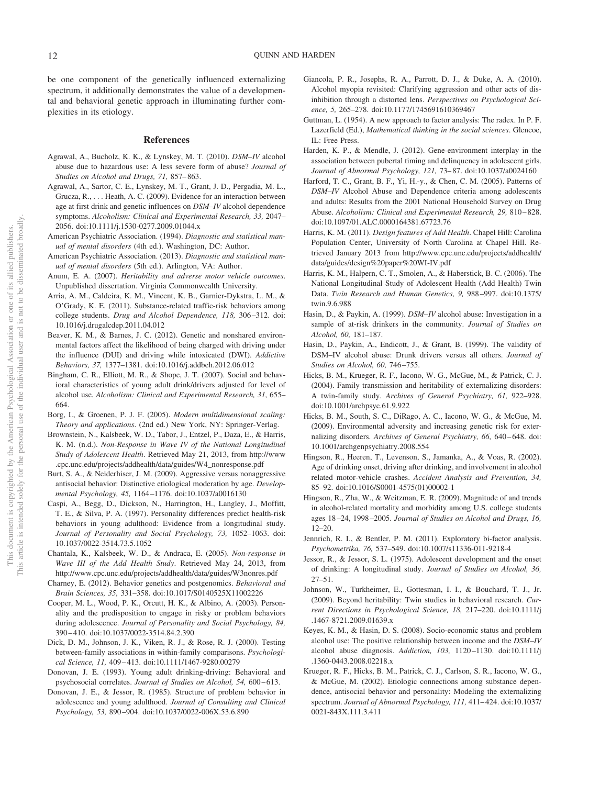be one component of the genetically influenced externalizing spectrum, it additionally demonstrates the value of a developmental and behavioral genetic approach in illuminating further complexities in its etiology.

#### **References**

- Agrawal, A., Bucholz, K. K., & Lynskey, M. T. (2010). *DSM–IV* alcohol abuse due to hazardous use: A less severe form of abuse? *Journal of Studies on Alcohol and Drugs, 71,* 857– 863.
- Agrawal, A., Sartor, C. E., Lynskey, M. T., Grant, J. D., Pergadia, M. L., Grucza, R.,... Heath, A. C. (2009). Evidence for an interaction between age at first drink and genetic influences on *DSM–IV* alcohol dependence symptoms. *Alcoholism: Clinical and Experimental Research, 33,* 2047– 2056. doi:10.1111/j.1530-0277.2009.01044.x
- American Psychiatric Association. (1994). *Diagnostic and statistical manual of mental disorders* (4th ed.). Washington, DC: Author.
- American Psychiatric Association. (2013). *Diagnostic and statistical manual of mental disorders* (5th ed.). Arlington, VA: Author.
- Anum, E. A. (2007). *Heritability and adverse motor vehicle outcomes*. Unpublished dissertation. Virginia Commonwealth University.
- Arria, A. M., Caldeira, K. M., Vincent, K. B., Garnier-Dykstra, L. M., & O'Grady, K. E. (2011). Substance-related traffic-risk behaviors among college students. *Drug and Alcohol Dependence, 118,* 306 –312. doi: 10.1016/j.drugalcdep.2011.04.012
- Beaver, K. M., & Barnes, J. C. (2012). Genetic and nonshared environmental factors affect the likelihood of being charged with driving under the influence (DUI) and driving while intoxicated (DWI). *Addictive Behaviors, 37,* 1377–1381. doi:10.1016/j.addbeh.2012.06.012
- Bingham, C. R., Elliott, M. R., & Shope, J. T. (2007). Social and behavioral characteristics of young adult drink/drivers adjusted for level of alcohol use. *Alcoholism: Clinical and Experimental Research, 31,* 655– 664.
- Borg, I., & Groenen, P. J. F. (2005). *Modern multidimensional scaling: Theory and applications*. (2nd ed.) New York, NY: Springer-Verlag.
- Brownstein, N., Kalsbeek, W. D., Tabor, J., Entzel, P., Daza, E., & Harris, K. M. (n.d.). *Non-Response in Wave IV of the National Longitudinal Study of Adolescent Health*. Retrieved May 21, 2013, from http://www .cpc.unc.edu/projects/addhealth/data/guides/W4\_nonresponse.pdf
- Burt, S. A., & Neiderhiser, J. M. (2009). Aggressive versus nonaggressive antisocial behavior: Distinctive etiological moderation by age. *Developmental Psychology, 45,* 1164 –1176. doi:10.1037/a0016130
- Caspi, A., Begg, D., Dickson, N., Harrington, H., Langley, J., Moffitt, T. E., & Silva, P. A. (1997). Personality differences predict health-risk behaviors in young adulthood: Evidence from a longitudinal study. *Journal of Personality and Social Psychology, 73,* 1052–1063. doi: 10.1037/0022-3514.73.5.1052
- Chantala, K., Kalsbeek, W. D., & Andraca, E. (2005). *Non-response in Wave III of the Add Health Study*. Retrieved May 24, 2013, from http://www.cpc.unc.edu/projects/addhealth/data/guides/W3nonres.pdf
- Charney, E. (2012). Behavior genetics and postgenomics. *Behavioral and Brain Sciences, 35,* 331–358. doi:10.1017/S0140525X11002226
- Cooper, M. L., Wood, P. K., Orcutt, H. K., & Albino, A. (2003). Personality and the predisposition to engage in risky or problem behaviors during adolescence. *Journal of Personality and Social Psychology, 84,* 390 – 410. doi:10.1037/0022-3514.84.2.390
- Dick, D. M., Johnson, J. K., Viken, R. J., & Rose, R. J. (2000). Testing between-family associations in within-family comparisons. *Psychological Science, 11,* 409 – 413. doi:10.1111/1467-9280.00279
- Donovan, J. E. (1993). Young adult drinking-driving: Behavioral and psychosocial correlates. *Journal of Studies on Alcohol*, 54, 600-613.
- Donovan, J. E., & Jessor, R. (1985). Structure of problem behavior in adolescence and young adulthood. *Journal of Consulting and Clinical Psychology, 53,* 890 –904. doi:10.1037/0022-006X.53.6.890
- Giancola, P. R., Josephs, R. A., Parrott, D. J., & Duke, A. A. (2010). Alcohol myopia revisited: Clarifying aggression and other acts of disinhibition through a distorted lens. *Perspectives on Psychological Science, 5,* 265–278. doi:10.1177/1745691610369467
- Guttman, L. (1954). A new approach to factor analysis: The radex. In P. F. Lazerfield (Ed.), *Mathematical thinking in the social sciences*. Glencoe, IL: Free Press.
- Harden, K. P., & Mendle, J. (2012). Gene-environment interplay in the association between pubertal timing and delinquency in adolescent girls. *Journal of Abnormal Psychology, 121,* 73– 87. doi:10.1037/a0024160
- Harford, T. C., Grant, B. F., Yi, H.-y., & Chen, C. M. (2005). Patterns of *DSM–IV* Alcohol Abuse and Dependence criteria among adolescents and adults: Results from the 2001 National Household Survey on Drug Abuse. *Alcoholism: Clinical and Experimental Research, 29,* 810 – 828. doi:10.1097/01.ALC.0000164381.67723.76
- Harris, K. M. (2011). *Design features of Add Health*. Chapel Hill: Carolina Population Center, University of North Carolina at Chapel Hill. Retrieved January 2013 from http://www.cpc.unc.edu/projects/addhealth/ data/guides/design%20paper%20WI-IV.pdf
- Harris, K. M., Halpern, C. T., Smolen, A., & Haberstick, B. C. (2006). The National Longitudinal Study of Adolescent Health (Add Health) Twin Data. *Twin Research and Human Genetics, 9,* 988 –997. doi:10.1375/ twin.9.6.988
- Hasin, D., & Paykin, A. (1999). *DSM–IV* alcohol abuse: Investigation in a sample of at-risk drinkers in the community. *Journal of Studies on Alcohol, 60,* 181–187.
- Hasin, D., Paykin, A., Endicott, J., & Grant, B. (1999). The validity of DSM–IV alcohol abuse: Drunk drivers versus all others. *Journal of Studies on Alcohol, 60,* 746 –755.
- Hicks, B. M., Krueger, R. F., Iacono, W. G., McGue, M., & Patrick, C. J. (2004). Family transmission and heritability of externalizing disorders: A twin-family study. *Archives of General Psychiatry, 61,* 922–928. doi:10.1001/archpsyc.61.9.922
- Hicks, B. M., South, S. C., DiRago, A. C., Iacono, W. G., & McGue, M. (2009). Environmental adversity and increasing genetic risk for externalizing disorders. Archives of General Psychiatry, 66, 640-648. doi: 10.1001/archgenpsychiatry.2008.554
- Hingson, R., Heeren, T., Levenson, S., Jamanka, A., & Voas, R. (2002). Age of drinking onset, driving after drinking, and involvement in alcohol related motor-vehicle crashes. *Accident Analysis and Prevention, 34,* 85–92. doi:10.1016/S0001-4575(01)00002-1
- Hingson, R., Zha, W., & Weitzman, E. R. (2009). Magnitude of and trends in alcohol-related mortality and morbidity among U.S. college students ages 18 –24, 1998 –2005. *Journal of Studies on Alcohol and Drugs, 16,* 12–20.
- Jennrich, R. I., & Bentler, P. M. (2011). Exploratory bi-factor analysis. *Psychometrika, 76,* 537–549. doi:10.1007/s11336-011-9218-4
- Jessor, R., & Jessor, S. L. (1975). Adolescent development and the onset of drinking: A longitudinal study. *Journal of Studies on Alcohol, 36,* 27–51.
- Johnson, W., Turkheimer, E., Gottesman, I. I., & Bouchard, T. J., Jr. (2009). Beyond heritability: Twin studies in behavioral research. *Current Directions in Psychological Science, 18,* 217–220. doi:10.1111/j .1467-8721.2009.01639.x
- Keyes, K. M., & Hasin, D. S. (2008). Socio-economic status and problem alcohol use: The positive relationship between income and the *DSM–IV* alcohol abuse diagnosis. *Addiction, 103,* 1120 –1130. doi:10.1111/j .1360-0443.2008.02218.x
- Krueger, R. F., Hicks, B. M., Patrick, C. J., Carlson, S. R., Iacono, W. G., & McGue, M. (2002). Etiologic connections among substance dependence, antisocial behavior and personality: Modeling the externalizing spectrum. *Journal of Abnormal Psychology, 111,* 411– 424. doi:10.1037/ 0021-843X.111.3.411